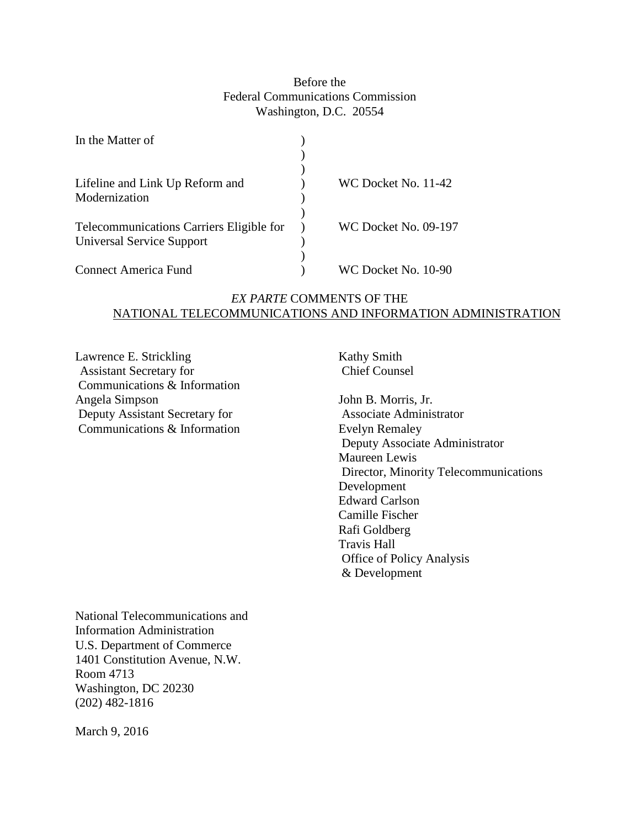# Before the Federal Communications Commission Washington, D.C. 20554

| In the Matter of                                                             |                      |
|------------------------------------------------------------------------------|----------------------|
| Lifeline and Link Up Reform and<br>Modernization                             | WC Docket No. 11-42  |
| Telecommunications Carriers Eligible for<br><b>Universal Service Support</b> | WC Docket No. 09-197 |
| Connect America Fund                                                         | WC Docket No. 10-90  |

# *EX PARTE* COMMENTS OF THE NATIONAL TELECOMMUNICATIONS AND INFORMATION ADMINISTRATION

Lawrence E. Strickling Assistant Secretary for Communications & Information Angela Simpson Deputy Assistant Secretary for Communications & Information

Kathy Smith Chief Counsel

John B. Morris, Jr. Associate Administrator Evelyn Remaley Deputy Associate Administrator Maureen Lewis Director, Minority Telecommunications Development Edward Carlson Camille Fischer Rafi Goldberg Travis Hall Office of Policy Analysis & Development

National Telecommunications and Information Administration U.S. Department of Commerce 1401 Constitution Avenue, N.W. Room 4713 Washington, DC 20230 (202) 482-1816

March 9, 2016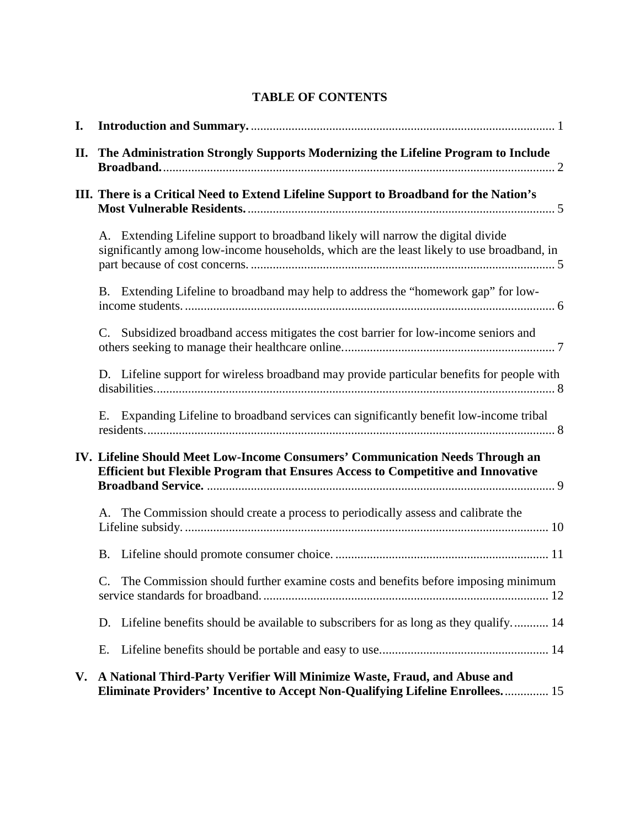# **TABLE OF CONTENTS**

| I. |                                                                                                                                                                                |  |  |  |  |
|----|--------------------------------------------------------------------------------------------------------------------------------------------------------------------------------|--|--|--|--|
| П. | The Administration Strongly Supports Modernizing the Lifeline Program to Include                                                                                               |  |  |  |  |
|    | III. There is a Critical Need to Extend Lifeline Support to Broadband for the Nation's                                                                                         |  |  |  |  |
|    | A. Extending Lifeline support to broadband likely will narrow the digital divide<br>significantly among low-income households, which are the least likely to use broadband, in |  |  |  |  |
|    | B. Extending Lifeline to broadband may help to address the "homework gap" for low-                                                                                             |  |  |  |  |
|    | Subsidized broadband access mitigates the cost barrier for low-income seniors and<br>C.                                                                                        |  |  |  |  |
|    | D. Lifeline support for wireless broadband may provide particular benefits for people with                                                                                     |  |  |  |  |
|    | E. Expanding Lifeline to broadband services can significantly benefit low-income tribal                                                                                        |  |  |  |  |
|    | IV. Lifeline Should Meet Low-Income Consumers' Communication Needs Through an<br>Efficient but Flexible Program that Ensures Access to Competitive and Innovative              |  |  |  |  |
|    | A. The Commission should create a process to periodically assess and calibrate the                                                                                             |  |  |  |  |
|    | B.                                                                                                                                                                             |  |  |  |  |
|    | The Commission should further examine costs and benefits before imposing minimum<br>$C_{\cdot}$                                                                                |  |  |  |  |
|    | D. Lifeline benefits should be available to subscribers for as long as they qualify 14                                                                                         |  |  |  |  |
|    | Е.                                                                                                                                                                             |  |  |  |  |
|    | V. A National Third-Party Verifier Will Minimize Waste, Fraud, and Abuse and<br>Eliminate Providers' Incentive to Accept Non-Qualifying Lifeline Enrollees 15                  |  |  |  |  |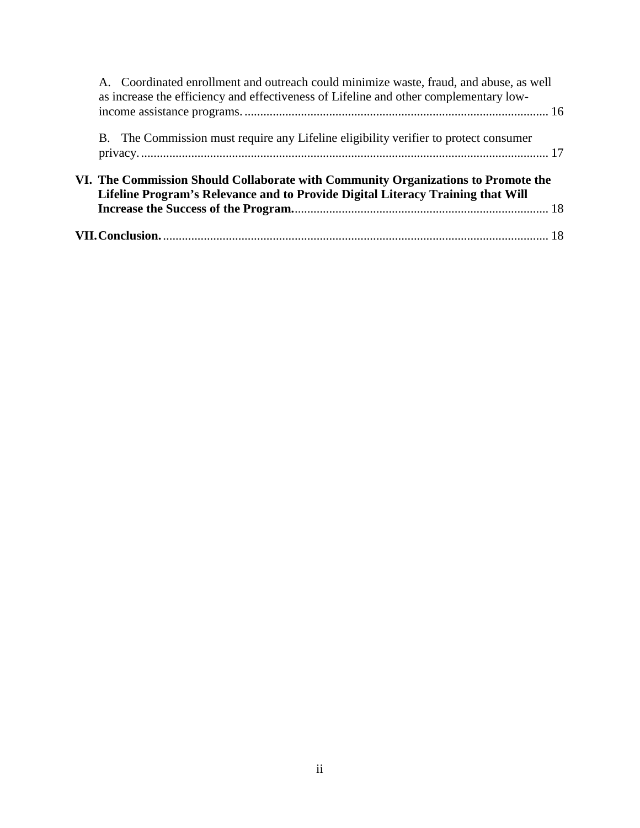| A. Coordinated enrollment and outreach could minimize waste, fraud, and abuse, as well<br>as increase the efficiency and effectiveness of Lifeline and other complementary low- |  |
|---------------------------------------------------------------------------------------------------------------------------------------------------------------------------------|--|
| B. The Commission must require any Lifeline eligibility verifier to protect consumer                                                                                            |  |
| VI. The Commission Should Collaborate with Community Organizations to Promote the<br>Lifeline Program's Relevance and to Provide Digital Literacy Training that Will            |  |
|                                                                                                                                                                                 |  |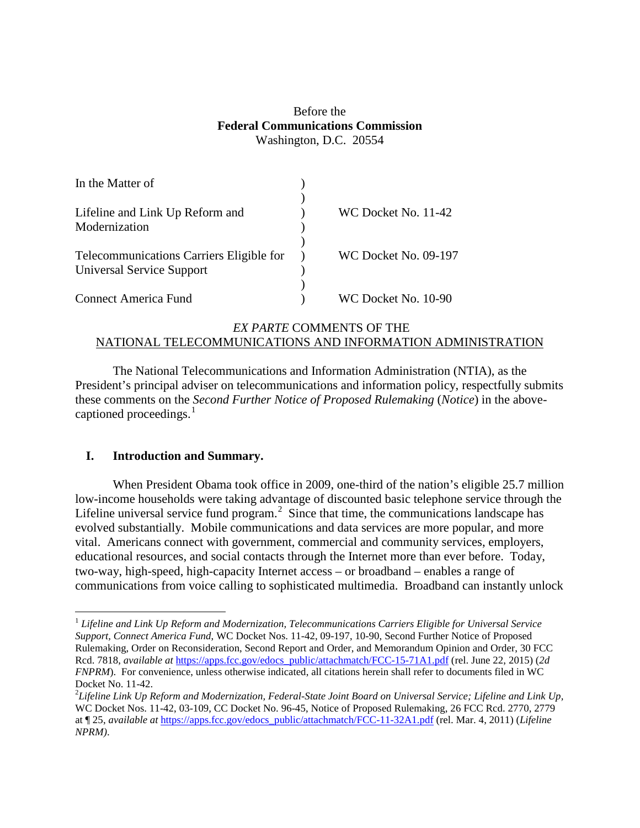# Before the **Federal Communications Commission** Washington, D.C. 20554

| In the Matter of                         |                             |
|------------------------------------------|-----------------------------|
|                                          |                             |
| Lifeline and Link Up Reform and          | WC Docket No. 11-42         |
| Modernization                            |                             |
|                                          |                             |
| Telecommunications Carriers Eligible for | <b>WC Docket No. 09-197</b> |
| <b>Universal Service Support</b>         |                             |
|                                          |                             |
| <b>Connect America Fund</b>              | WC Docket No. 10-90         |

# *EX PARTE* COMMENTS OF THE NATIONAL TELECOMMUNICATIONS AND INFORMATION ADMINISTRATION

The National Telecommunications and Information Administration (NTIA), as the President's principal adviser on telecommunications and information policy, respectfully submits these comments on the *Second Further Notice of Proposed Rulemaking* (*Notice*) in the abovecaptioned proceedings. $<sup>1</sup>$  $<sup>1</sup>$  $<sup>1</sup>$ </sup>

# <span id="page-3-0"></span>**I. Introduction and Summary.**

When President Obama took office in 2009, one-third of the nation's eligible 25.7 million low-income households were taking advantage of discounted basic telephone service through the Lifeline universal service fund program.<sup>[2](#page-3-2)</sup> Since that time, the communications landscape has evolved substantially. Mobile communications and data services are more popular, and more vital. Americans connect with government, commercial and community services, employers, educational resources, and social contacts through the Internet more than ever before. Today, two-way, high-speed, high-capacity Internet access – or broadband – enables a range of communications from voice calling to sophisticated multimedia. Broadband can instantly unlock

<span id="page-3-1"></span> <sup>1</sup> *Lifeline and Link Up Reform and Modernization, Telecommunications Carriers Eligible for Universal Service Support, Connect America Fund*, WC Docket Nos. 11-42, 09-197, 10-90, Second Further Notice of Proposed Rulemaking, Order on Reconsideration, Second Report and Order, and Memorandum Opinion and Order, 30 FCC Rcd. 7818, *available at* [https://apps.fcc.gov/edocs\\_public/attachmatch/FCC-15-71A1.pdf](https://apps.fcc.gov/edocs_public/attachmatch/FCC-15-71A1.pdf) (rel. June 22, 2015) (*2d FNPRM*). For convenience, unless otherwise indicated, all citations herein shall refer to documents filed in WC Docket No. 11-42.

<span id="page-3-2"></span>*Lifeline Link Up Reform and Modernization, Federal-State Joint Board on Universal Service; Lifeline and Link Up,*  WC Docket Nos. 11-42, 03-109, CC Docket No. 96-45, Notice of Proposed Rulemaking, 26 FCC Rcd. 2770, 2779 at ¶ 25, *available at* [https://apps.fcc.gov/edocs\\_public/attachmatch/FCC-11-32A1.pdf](https://apps.fcc.gov/edocs_public/attachmatch/FCC-11-32A1.pdf) (rel. Mar. 4, 2011) (*Lifeline NPRM)*.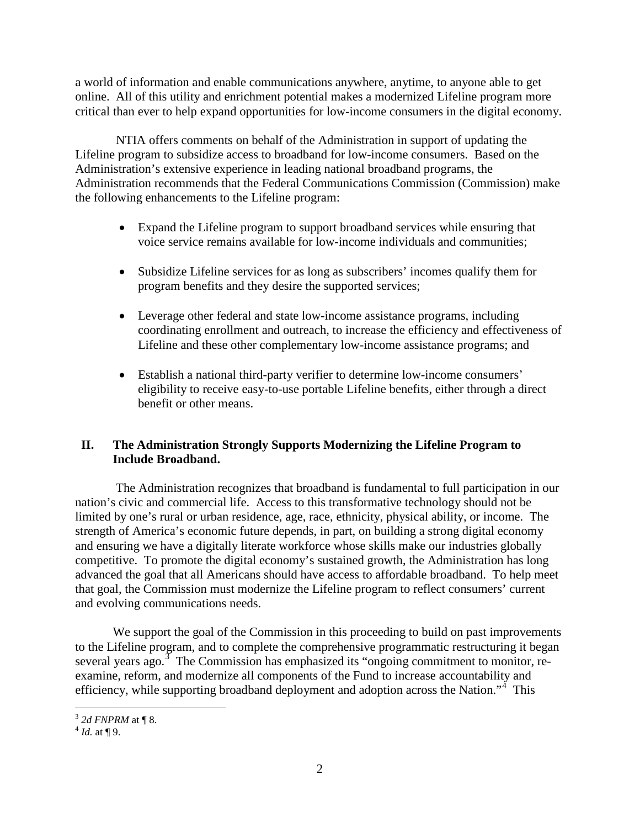a world of information and enable communications anywhere, anytime, to anyone able to get online. All of this utility and enrichment potential makes a modernized Lifeline program more critical than ever to help expand opportunities for low-income consumers in the digital economy.

NTIA offers comments on behalf of the Administration in support of updating the Lifeline program to subsidize access to broadband for low-income consumers. Based on the Administration's extensive experience in leading national broadband programs, the Administration recommends that the Federal Communications Commission (Commission) make the following enhancements to the Lifeline program:

- Expand the Lifeline program to support broadband services while ensuring that voice service remains available for low-income individuals and communities;
- Subsidize Lifeline services for as long as subscribers' incomes qualify them for program benefits and they desire the supported services;
- Leverage other federal and state low-income assistance programs, including coordinating enrollment and outreach, to increase the efficiency and effectiveness of Lifeline and these other complementary low-income assistance programs; and
- Establish a national third-party verifier to determine low-income consumers' eligibility to receive easy-to-use portable Lifeline benefits, either through a direct benefit or other means.

# <span id="page-4-0"></span>**II. The Administration Strongly Supports Modernizing the Lifeline Program to Include Broadband.**

The Administration recognizes that broadband is fundamental to full participation in our nation's civic and commercial life. Access to this transformative technology should not be limited by one's rural or urban residence, age, race, ethnicity, physical ability, or income. The strength of America's economic future depends, in part, on building a strong digital economy and ensuring we have a digitally literate workforce whose skills make our industries globally competitive. To promote the digital economy's sustained growth, the Administration has long advanced the goal that all Americans should have access to affordable broadband. To help meet that goal, the Commission must modernize the Lifeline program to reflect consumers' current and evolving communications needs.

We support the goal of the Commission in this proceeding to build on past improvements to the Lifeline program, and to complete the comprehensive programmatic restructuring it began several years ago.<sup>[3](#page-4-1)</sup> The Commission has emphasized its "ongoing commitment to monitor, reexamine, reform, and modernize all components of the Fund to increase accountability and efficiency, while supporting broadband deployment and adoption across the Nation."<sup>[4](#page-4-2)</sup> This

<span id="page-4-1"></span><sup>3</sup> *2d FNPRM* at ¶ 8. 4 *Id.* at ¶ 9.

<span id="page-4-2"></span>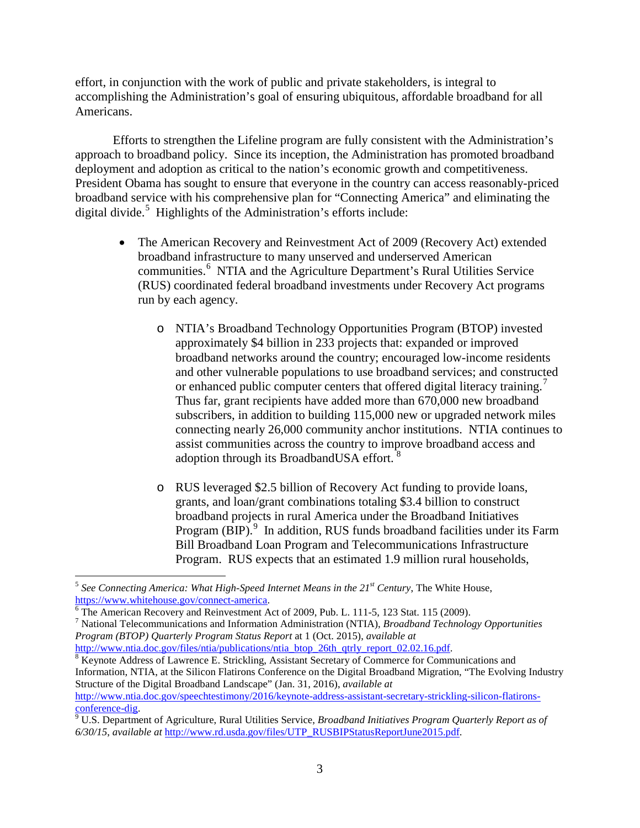effort, in conjunction with the work of public and private stakeholders, is integral to accomplishing the Administration's goal of ensuring ubiquitous, affordable broadband for all Americans.

Efforts to strengthen the Lifeline program are fully consistent with the Administration's approach to broadband policy. Since its inception, the Administration has promoted broadband deployment and adoption as critical to the nation's economic growth and competitiveness. President Obama has sought to ensure that everyone in the country can access reasonably-priced broadband service with his comprehensive plan for "Connecting America" and eliminating the digital divide. [5](#page-5-0) Highlights of the Administration's efforts include:

- The American Recovery and Reinvestment Act of 2009 (Recovery Act) extended broadband infrastructure to many unserved and underserved American communities.<sup>[6](#page-5-1)</sup> NTIA and the Agriculture Department's Rural Utilities Service (RUS) coordinated federal broadband investments under Recovery Act programs run by each agency.
	- o NTIA's Broadband Technology Opportunities Program (BTOP) invested approximately \$4 billion in 233 projects that: expanded or improved broadband networks around the country; encouraged low-income residents and other vulnerable populations to use broadband services; and constructed or enhanced public computer centers that offered digital literacy training.<sup>[7](#page-5-2)</sup> Thus far, grant recipients have added more than 670,000 new broadband subscribers, in addition to building 115,000 new or upgraded network miles connecting nearly 26,000 community anchor institutions. NTIA continues to assist communities across the country to improve broadband access and adoption through its BroadbandUSA effort.<sup>[8](#page-5-3)</sup>
	- o RUS leveraged \$2.5 billion of Recovery Act funding to provide loans, grants, and loan/grant combinations totaling \$3.4 billion to construct broadband projects in rural America under the Broadband Initiatives Program (BIP).<sup>[9](#page-5-4)</sup> In addition, RUS funds broadband facilities under its Farm Bill Broadband Loan Program and Telecommunications Infrastructure Program. RUS expects that an estimated 1.9 million rural households,

<span id="page-5-0"></span><sup>&</sup>lt;sup>5</sup> See Connecting America: What High-Speed Internet Means in the  $21^{st}$  Century, The White House, https://www.whitehouse.gov/connect-america.

<span id="page-5-2"></span><span id="page-5-1"></span> $\frac{6}{10}$  The American Recovery and Reinvestment Act of 2009, Pub. L. 111-5, 123 Stat. 115 (2009).<br>
<sup>7</sup> National Telecommunications and Information Administration (NTIA), *Broadband Technology Opportunities Program (BTOP) Quarterly Program Status Report* at 1 (Oct. 2015), *available at*

<span id="page-5-3"></span>[http://www.ntia.doc.gov/files/ntia/publications/ntia\\_btop\\_26th\\_qtrly\\_report\\_02.02.16.pdf.](http://www.ntia.doc.gov/files/ntia/publications/ntia_btop_26th_qtrly_report_02.02.16.pdf) 8 Keynote Address of Lawrence E. Strickling, Assistant Secretary of Commerce for Communications and Information, NTIA, at the Silicon Flatirons Conference on the Digital Broadband Migration, "The Evolving Industry Structure of the Digital Broadband Landscape" (Jan. 31, 2016), *available at* [http://www.ntia.doc.gov/speechtestimony/2016/keynote-address-assistant-secretary-strickling-silicon-flatirons-](http://www.ntia.doc.gov/speechtestimony/2016/keynote-address-assistant-secretary-strickling-silicon-flatirons-conference-dig)

<span id="page-5-4"></span> $\degree$  U.S. Department of Agriculture, Rural Utilities Service, *Broadband Initiatives Program Quarterly Report as of 6/30/15*, *available at* [http://www.rd.usda.gov/files/UTP\\_RUSBIPStatusReportJune2015.pdf.](http://www.rd.usda.gov/files/UTP_RUSBIPStatusReportJune2015.pdf)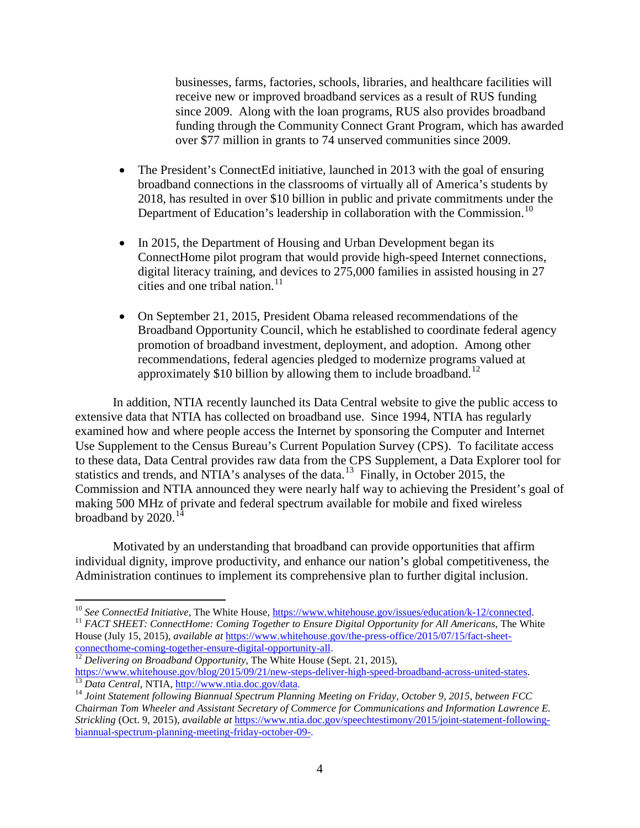businesses, farms, factories, schools, libraries, and healthcare facilities will receive new or improved broadband services as a result of RUS funding since 2009. Along with the loan programs, RUS also provides broadband funding through the Community Connect Grant Program, which has awarded over \$77 million in grants to 74 unserved communities since 2009.

- The President's ConnectEd initiative, launched in 2013 with the goal of ensuring broadband connections in the classrooms of virtually all of America's students by 2018, has resulted in over \$10 billion in public and private commitments under the Department of Education's leadership in collaboration with the Commission.<sup>[10](#page-6-0)</sup>
- In 2015, the Department of Housing and Urban Development began its ConnectHome pilot program that would provide high-speed Internet connections, digital literacy training, and devices to 275,000 families in assisted housing in 27 cities and one tribal nation. $11$
- On September 21, 2015, President Obama released recommendations of the Broadband Opportunity Council, which he established to coordinate federal agency promotion of broadband investment, deployment, and adoption. Among other recommendations, federal agencies pledged to modernize programs valued at approximately \$10 billion by allowing them to include broadband.<sup>[12](#page-6-2)</sup>

In addition, NTIA recently launched its Data Central website to give the public access to extensive data that NTIA has collected on broadband use. Since 1994, NTIA has regularly examined how and where people access the Internet by sponsoring the Computer and Internet Use Supplement to the Census Bureau's Current Population Survey (CPS). To facilitate access to these data, Data Central provides raw data from the CPS Supplement, a Data Explorer tool for statistics and trends, and NTIA's analyses of the data.<sup>[13](#page-6-3)</sup> Finally, in October 2015, the Commission and NTIA announced they were nearly half way to achieving the President's goal of making 500 MHz of private and federal spectrum available for mobile and fixed wireless broadband by  $2020.<sup>14</sup>$  $2020.<sup>14</sup>$  $2020.<sup>14</sup>$ 

Motivated by an understanding that broadband can provide opportunities that affirm individual dignity, improve productivity, and enhance our nation's global competitiveness, the Administration continues to implement its comprehensive plan to further digital inclusion.

<span id="page-6-1"></span><span id="page-6-0"></span><sup>&</sup>lt;sup>10</sup> See ConnectEd Initiative, The White House,  $\frac{https://www.whitehouse.gov/issues/eduction/k-12/connected.}{HACT SHEET: ConnectHome: Comine Together to Ensure Digital Opportunity for All Americans, The White$ House (July 15, 2015), *available at* [https://www.whitehouse.gov/the-press-office/2015/07/15/fact-sheet-](https://www.whitehouse.gov/the-press-office/2015/07/15/fact-sheet-connecthome-coming-together-ensure-digital-opportunity-all)

<span id="page-6-2"></span>[connecthome-coming-together-ensure-digital-opportunity-all.](https://www.whitehouse.gov/the-press-office/2015/07/15/fact-sheet-connecthome-coming-together-ensure-digital-opportunity-all)<br><sup>12</sup> *Delivering on Broadband Opportunity*, The White House (Sept. 21, 2015),<br>https://www.whitehouse.gov/blog/2015/09/21/new-steps-deliver-high-speed-broadband-ac

<span id="page-6-4"></span><span id="page-6-3"></span> $\frac{13}{13}$  Data Central, NTIA, [http://www.ntia.doc.gov/data.](http://www.ntia.doc.gov/data)<br> $\frac{14}{14}$  Joint Statement following Biannual Spectrum Planning Meeting on Friday, October 9, 2015, between FCC *Chairman Tom Wheeler and Assistant Secretary of Commerce for Communications and Information Lawrence E. Strickling* (Oct. 9, 2015), *available at* [https://www.ntia.doc.gov/speechtestimony/2015/joint-statement-following](http://www.ntia.doc.gov/speechtestimony/2015/joint-statement-following-biannual-spectrum-planning-meeting-friday-october-09-.)[biannual-spectrum-planning-meeting-friday-october-09-.](http://www.ntia.doc.gov/speechtestimony/2015/joint-statement-following-biannual-spectrum-planning-meeting-friday-october-09-.)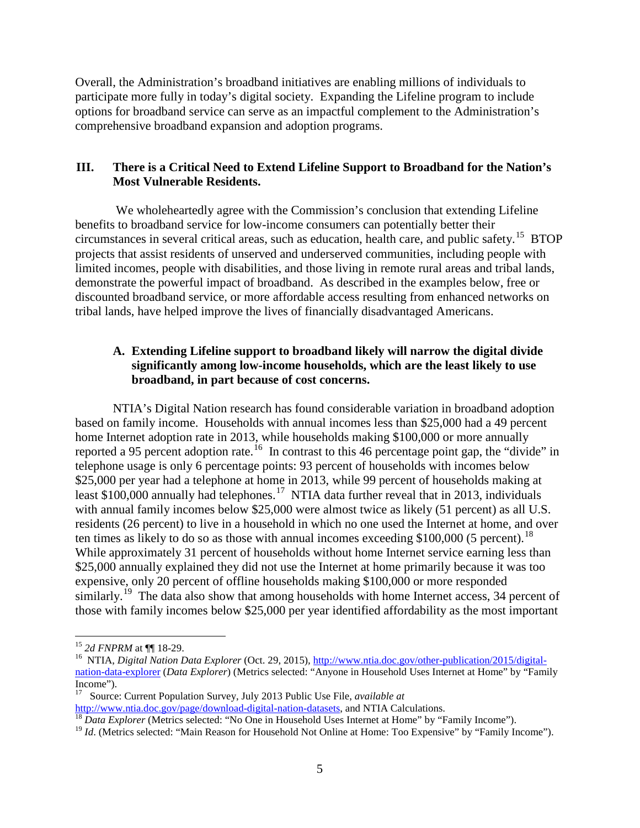Overall, the Administration's broadband initiatives are enabling millions of individuals to participate more fully in today's digital society. Expanding the Lifeline program to include options for broadband service can serve as an impactful complement to the Administration's comprehensive broadband expansion and adoption programs.

# <span id="page-7-0"></span>**III. There is a Critical Need to Extend Lifeline Support to Broadband for the Nation's Most Vulnerable Residents.**

We wholeheartedly agree with the Commission's conclusion that extending Lifeline benefits to broadband service for low-income consumers can potentially better their circumstances in several critical areas, such as education, health care, and public safety.<sup>15</sup> BTOP projects that assist residents of unserved and underserved communities, including people with limited incomes, people with disabilities, and those living in remote rural areas and tribal lands, demonstrate the powerful impact of broadband. As described in the examples below, free or discounted broadband service, or more affordable access resulting from enhanced networks on tribal lands, have helped improve the lives of financially disadvantaged Americans.

# <span id="page-7-1"></span>**A. Extending Lifeline support to broadband likely will narrow the digital divide significantly among low-income households, which are the least likely to use broadband, in part because of cost concerns.**

NTIA's Digital Nation research has found considerable variation in broadband adoption based on family income. Households with annual incomes less than \$25,000 had a 49 percent home Internet adoption rate in 2013, while households making \$100,000 or more annually reported a 95 percent adoption rate.<sup>[16](#page-7-3)</sup> In contrast to this 46 percentage point gap, the "divide" in telephone usage is only 6 percentage points: 93 percent of households with incomes below \$25,000 per year had a telephone at home in 2013, while 99 percent of households making at least \$100,000 annually had telephones.<sup>[17](#page-7-4)</sup> NTIA data further reveal that in 2013, individuals with annual family incomes below \$25,000 were almost twice as likely (51 percent) as all U.S. residents (26 percent) to live in a household in which no one used the Internet at home, and over ten times as likely to do so as those with annual incomes exceeding \$100,000 (5 percent).<sup>[18](#page-7-5)</sup> While approximately 31 percent of households without home Internet service earning less than \$25,000 annually explained they did not use the Internet at home primarily because it was too expensive, only 20 percent of offline households making \$100,000 or more responded similarly.<sup>[19](#page-7-6)</sup> The data also show that among households with home Internet access, 34 percent of those with family incomes below \$25,000 per year identified affordability as the most important

<span id="page-7-3"></span><span id="page-7-2"></span><sup>&</sup>lt;sup>15</sup> *2d FNPRM* at ¶ 18-29.<br><sup>16</sup> NTIA, *Digital Nation Data Explorer* (Oct. 29, 2015), [http://www.ntia.doc.gov/other-publication/2015/digital](http://www.ntia.doc.gov/other-publication/2015/digital-nation-data-explorer)[nation-data-explorer](http://www.ntia.doc.gov/other-publication/2015/digital-nation-data-explorer) (*Data Explorer*) (Metrics selected: "Anyone in Household Uses Internet at Home" by "Family Income").

<span id="page-7-4"></span><sup>&</sup>lt;sup>17</sup> Source: Current Population Survey, July 2013 Public Use File, *available at*<br>http://www.ntia.doc.gov/page/download-digital-nation-datasets, and NTIA Calculations.

<span id="page-7-5"></span><sup>&</sup>lt;sup>18</sup> *Data Explorer* (Metrics selected: "No One in Household Uses Internet at Home" by "Family Income").

<span id="page-7-6"></span><sup>&</sup>lt;sup>19</sup> *Id.* (Metrics selected: "Main Reason for Household Not Online at Home: Too Expensive" by "Family Income").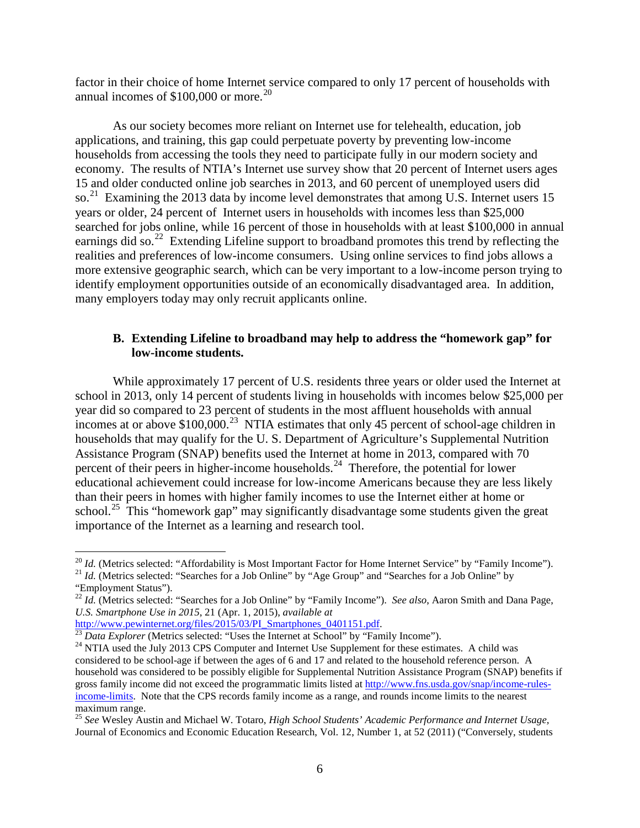factor in their choice of home Internet service compared to only 17 percent of households with annual incomes of  $$100,000$  or more.<sup>[20](#page-8-1)</sup>

As our society becomes more reliant on Internet use for telehealth, education, job applications, and training, this gap could perpetuate poverty by preventing low-income households from accessing the tools they need to participate fully in our modern society and economy. The results of NTIA's Internet use survey show that 20 percent of Internet users ages 15 and older conducted online job searches in 2013, and 60 percent of unemployed users did so.<sup>[21](#page-8-2)</sup> Examining the 2013 data by income level demonstrates that among U.S. Internet users 15 years or older, 24 percent of Internet users in households with incomes less than \$25,000 searched for jobs online, while 16 percent of those in households with at least \$100,000 in annual earnings did so.<sup>[22](#page-8-3)</sup> Extending Lifeline support to broadband promotes this trend by reflecting the realities and preferences of low-income consumers. Using online services to find jobs allows a more extensive geographic search, which can be very important to a low-income person trying to identify employment opportunities outside of an economically disadvantaged area. In addition, many employers today may only recruit applicants online.

#### <span id="page-8-0"></span>**B. Extending Lifeline to broadband may help to address the "homework gap" for low-income students.**

While approximately 17 percent of U.S. residents three years or older used the Internet at school in 2013, only 14 percent of students living in households with incomes below \$25,000 per year did so compared to 23 percent of students in the most affluent households with annual incomes at or above  $$100,000.<sup>23</sup>$  $$100,000.<sup>23</sup>$  $$100,000.<sup>23</sup>$  NTIA estimates that only 45 percent of school-age children in households that may qualify for the U. S. Department of Agriculture's Supplemental Nutrition Assistance Program (SNAP) benefits used the Internet at home in 2013, compared with 70 percent of their peers in higher-income households.<sup>[24](#page-8-5)</sup> Therefore, the potential for lower educational achievement could increase for low-income Americans because they are less likely than their peers in homes with higher family incomes to use the Internet either at home or school.<sup>[25](#page-8-6)</sup> This "homework gap" may significantly disadvantage some students given the great importance of the Internet as a learning and research tool.

<span id="page-8-2"></span><span id="page-8-1"></span><sup>&</sup>lt;sup>20</sup> *Id.* (Metrics selected: "Affordability is Most Important Factor for Home Internet Service" by "Family Income").<br><sup>21</sup> *Id.* (Metrics selected: "Searches for a Job Online" by "Age Group" and "Searches for a Job Online "Employment Status"). <sup>22</sup> *Id.* (Metrics selected: "Searches for a Job Online" by "Family Income"). *See also*, Aaron Smith and Dana Page,

<span id="page-8-3"></span>*U.S. Smartphone Use in 2015*, 21 (Apr. 1, 2015), *available at*

<span id="page-8-5"></span>

<span id="page-8-4"></span><sup>&</sup>lt;sup>23</sup> Data Explorer (Metrics selected: "Uses the Internet at School" by "Family Income").<br><sup>24</sup> NTIA used the July 2013 CPS Computer and Internet Use Supplement for these estimates. A child was considered to be school-age if between the ages of 6 and 17 and related to the household reference person. A household was considered to be possibly eligible for Supplemental Nutrition Assistance Program (SNAP) benefits if gross family income did not exceed the programmatic limits listed at [http://www.fns.usda.gov/snap/income-rules](http://www.fns.usda.gov/snap/income-rules-income-limits)[income-limits.](http://www.fns.usda.gov/snap/income-rules-income-limits) Note that the CPS records family income as a range, and rounds income limits to the nearest maximum range.

<span id="page-8-6"></span><sup>25</sup> *See* Wesley Austin and Michael W. Totaro, *High School Students' Academic Performance and Internet Usage,*  Journal of Economics and Economic Education Research, Vol. 12, Number 1, at 52 (2011) ("Conversely, students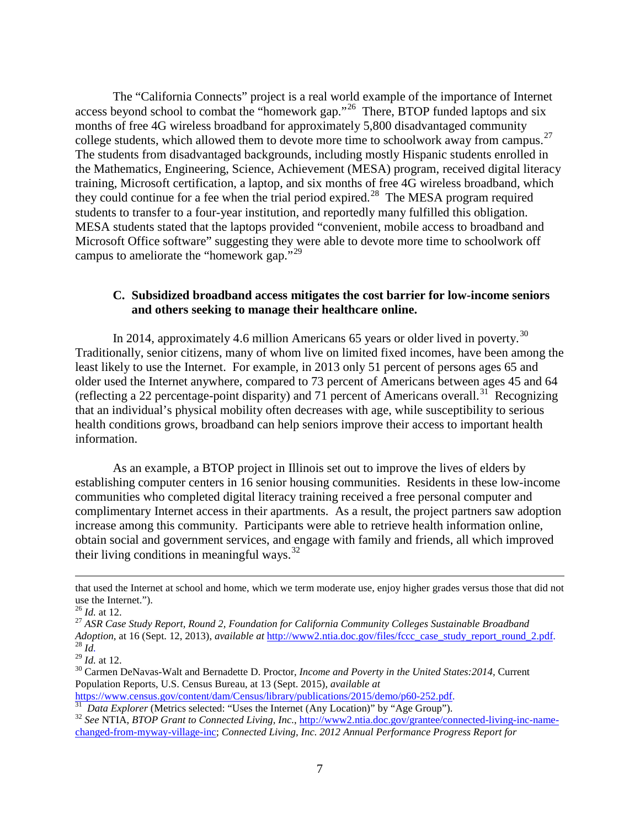The "California Connects" project is a real world example of the importance of Internet access beyond school to combat the "homework gap."<sup>26</sup> There, BTOP funded laptops and six months of free 4G wireless broadband for approximately 5,800 disadvantaged community college students, which allowed them to devote more time to schoolwork away from campus.<sup>[27](#page-9-2)</sup> The students from disadvantaged backgrounds, including mostly Hispanic students enrolled in the Mathematics, Engineering, Science, Achievement (MESA) program, received digital literacy training, Microsoft certification, a laptop, and six months of free 4G wireless broadband, which they could continue for a fee when the trial period expired.<sup>[28](#page-9-3)</sup> The MESA program required students to transfer to a four-year institution, and reportedly many fulfilled this obligation. MESA students stated that the laptops provided "convenient, mobile access to broadband and Microsoft Office software" suggesting they were able to devote more time to schoolwork off campus to ameliorate the "homework gap."<sup>[29](#page-9-4)</sup>

#### <span id="page-9-0"></span>**C. Subsidized broadband access mitigates the cost barrier for low-income seniors and others seeking to manage their healthcare online.**

In 2014, approximately 4.6 million Americans 65 years or older lived in poverty.<sup>[30](#page-9-5)</sup> Traditionally, senior citizens, many of whom live on limited fixed incomes, have been among the least likely to use the Internet. For example, in 2013 only 51 percent of persons ages 65 and older used the Internet anywhere, compared to 73 percent of Americans between ages 45 and 64 (reflecting a 22 percentage-point disparity) and 71 percent of Americans overall.<sup>[31](#page-9-6)</sup> Recognizing that an individual's physical mobility often decreases with age, while susceptibility to serious health conditions grows, broadband can help seniors improve their access to important health information.

As an example, a BTOP project in Illinois set out to improve the lives of elders by establishing computer centers in 16 senior housing communities. Residents in these low-income communities who completed digital literacy training received a free personal computer and complimentary Internet access in their apartments. As a result, the project partners saw adoption increase among this community. Participants were able to retrieve health information online, obtain social and government services, and engage with family and friends, all which improved their living conditions in meaningful ways. $32$ 

 $\overline{a}$ 

that used the Internet at school and home, which we term moderate use, enjoy higher grades versus those that did not use the Internet.").<br> $^{26}$  *Id.* at 12.

<span id="page-9-2"></span><span id="page-9-1"></span><sup>&</sup>lt;sup>27</sup> ASR Case Study Report, Round 2, Foundation for California Community Colleges Sustainable Broadband *Adoption*, at 16 (Sept. 12, 2013), *available at [http://www2.ntia.doc.gov/files/fccc\\_case\\_study\\_report\\_round\\_2.pdf.](http://www2.ntia.doc.gov/files/fccc_case_study_report_round_2.pdf)*<br><sup>28</sup> *Id.* at 12.<br><sup>29</sup> *Id.* at 12.<br><sup>30</sup> Carmen DeNavas-Walt and Bernadette D. Proctor, *Income and Pove* 

<span id="page-9-3"></span>

<span id="page-9-5"></span><span id="page-9-4"></span>Population Reports*,* U.S. Census Bureau, at 13 (Sept. 2015), *available at*

<span id="page-9-7"></span><span id="page-9-6"></span> $\frac{31}{31}$  Data Explorer (Metrics selected: "Uses the Internet (Any Location)" by "Age Group").<br><sup>32</sup> See NTIA, BTOP Grant to Connected Living, Inc.[, http://www2.ntia.doc.gov/grantee/connected-living-inc-name](http://www2.ntia.doc.gov/grantee/connected-living-inc-name-changed-from-myway-village-inc)[changed-from-myway-village-inc;](http://www2.ntia.doc.gov/grantee/connected-living-inc-name-changed-from-myway-village-inc) *Connected Living, Inc. 2012 Annual Performance Progress Report for*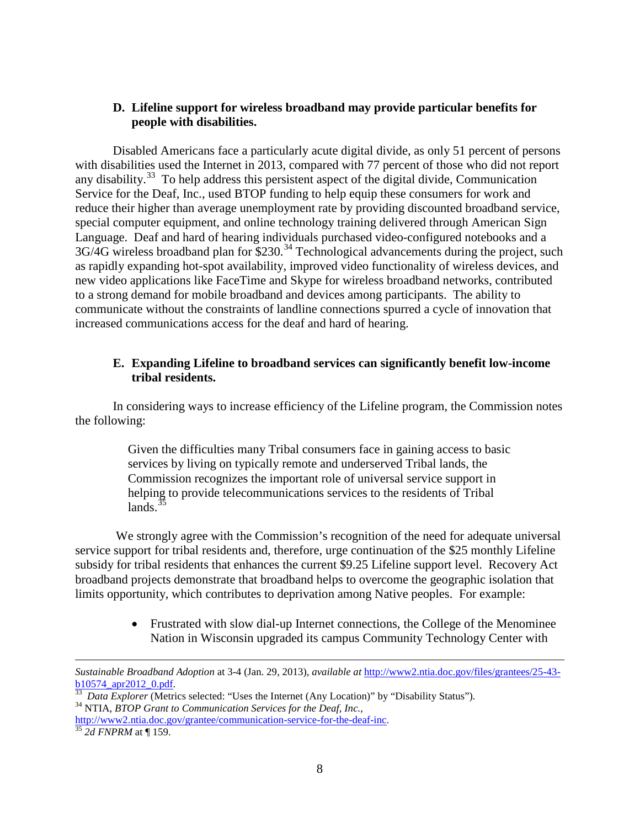#### <span id="page-10-0"></span>**D. Lifeline support for wireless broadband may provide particular benefits for people with disabilities.**

Disabled Americans face a particularly acute digital divide, as only 51 percent of persons with disabilities used the Internet in 2013, compared with 77 percent of those who did not report any disability.<sup>[33](#page-10-2)</sup> To help address this persistent aspect of the digital divide, Communication Service for the Deaf, Inc., used BTOP funding to help equip these consumers for work and reduce their higher than average unemployment rate by providing discounted broadband service, special computer equipment, and online technology training delivered through American Sign Language. Deaf and hard of hearing individuals purchased video-configured notebooks and a  $3G/4G$  wireless broadband plan for \$230.<sup>[34](#page-10-3)</sup> Technological advancements during the project, such as rapidly expanding hot-spot availability, improved video functionality of wireless devices, and new video applications like FaceTime and Skype for wireless broadband networks, contributed to a strong demand for mobile broadband and devices among participants. The ability to communicate without the constraints of landline connections spurred a cycle of innovation that increased communications access for the deaf and hard of hearing.

#### <span id="page-10-1"></span>**E. Expanding Lifeline to broadband services can significantly benefit low-income tribal residents.**

In considering ways to increase efficiency of the Lifeline program, the Commission notes the following:

> Given the difficulties many Tribal consumers face in gaining access to basic services by living on typically remote and underserved Tribal lands, the Commission recognizes the important role of universal service support in helping to provide telecommunications services to the residents of Tribal lands. $35$

We strongly agree with the Commission's recognition of the need for adequate universal service support for tribal residents and, therefore, urge continuation of the \$25 monthly Lifeline subsidy for tribal residents that enhances the current \$9.25 Lifeline support level. Recovery Act broadband projects demonstrate that broadband helps to overcome the geographic isolation that limits opportunity, which contributes to deprivation among Native peoples. For example:

> • Frustrated with slow dial-up Internet connections, the College of the Menominee Nation in Wisconsin upgraded its campus Community Technology Center with

 $\overline{a}$ 

*Sustainable Broadband Adoption* at 3-4 (Jan. 29, 2013)*, available at* [http://www2.ntia.doc.gov/files/grantees/25-43-](http://www2.ntia.doc.gov/files/grantees/25-43-b10574_apr2012_0.pdf)

<span id="page-10-2"></span><sup>&</sup>lt;sup>[33](http://www2.ntia.doc.gov/files/grantees/25-43-b10574_apr2012_0.pdf)</sup> *Data Explorer* (Metrics selected: "Uses the Internet (Any Location)" by "Disability Status").<br><sup>34</sup> NTIA, *BTOP Grant to Communication Services for the Deaf, Inc.*,

<span id="page-10-4"></span><span id="page-10-3"></span>[http://www2.ntia.doc.gov/grantee/communication-service-for-the-deaf-inc.](http://www2.ntia.doc.gov/grantee/communication-service-for-the-deaf-inc) <sup>35</sup> *2d FNPRM* at ¶ 159.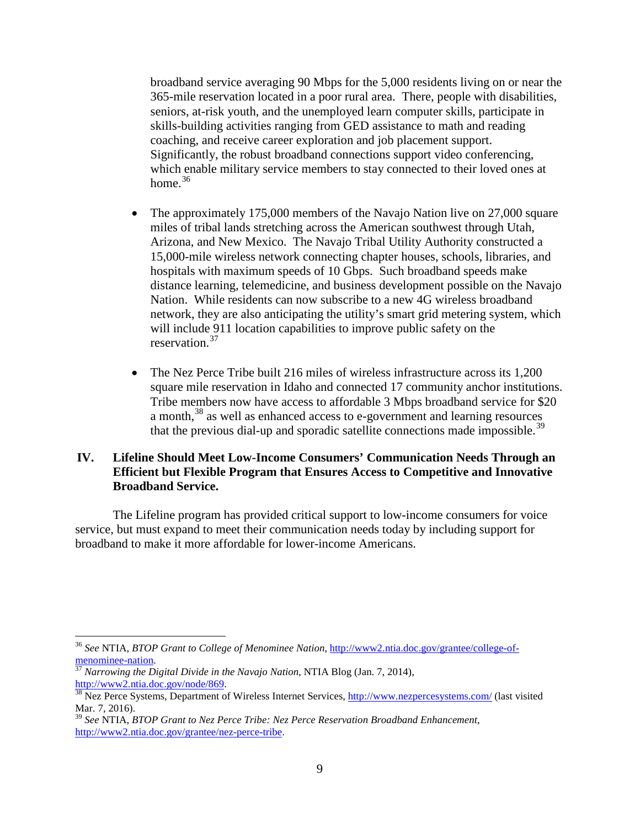broadband service averaging 90 Mbps for the 5,000 residents living on or near the 365-mile reservation located in a poor rural area. There, people with disabilities, seniors, at-risk youth, and the unemployed learn computer skills, participate in skills-building activities ranging from GED assistance to math and reading coaching, and receive career exploration and job placement support. Significantly, the robust broadband connections support video conferencing, which enable military service members to stay connected to their loved ones at home. $36$ 

- The approximately 175,000 members of the Navajo Nation live on 27,000 square miles of tribal lands stretching across the American southwest through Utah, Arizona, and New Mexico. The Navajo Tribal Utility Authority constructed a 15,000-mile wireless network connecting chapter houses, schools, libraries, and hospitals with maximum speeds of 10 Gbps. Such broadband speeds make distance learning, telemedicine, and business development possible on the Navajo Nation. While residents can now subscribe to a new 4G wireless broadband network, they are also anticipating the utility's smart grid metering system, which will include 911 location capabilities to improve public safety on the reservation.[37](#page-11-3)
- The Nez Perce Tribe built 216 miles of wireless infrastructure across its 1,200 square mile reservation in Idaho and connected 17 community anchor institutions. Tribe members now have access to affordable 3 Mbps broadband service for \$20 a month,<sup>[38](#page-11-4)</sup> as well as enhanced access to e-government and learning resources that the previous dial-up and sporadic satellite connections made impossible.<sup>[39](#page-11-5)</sup>

#### <span id="page-11-0"></span>**IV. Lifeline Should Meet Low-Income Consumers' Communication Needs Through an Efficient but Flexible Program that Ensures Access to Competitive and Innovative Broadband Service.**

<span id="page-11-1"></span>The Lifeline program has provided critical support to low-income consumers for voice service, but must expand to meet their communication needs today by including support for broadband to make it more affordable for lower-income Americans.

<span id="page-11-2"></span> <sup>36</sup> *See* NTIA, *BTOP Grant to College of Menominee Nation*, [http://www2.ntia.doc.gov/grantee/college-of-](http://www2.ntia.doc.gov/grantee/college-of-menominee-nation)

<span id="page-11-3"></span> $\frac{37}{37}$ *Narrowing the Digital Divide in the Navajo Nation*, NTIA Blog (Jan. 7, 2014), http://www2.ntia.doc.gov/node/869.

<span id="page-11-4"></span> $\frac{38}{100}$  Nez Perce Systems, Department of Wireless Internet Services,<http://www.nezpercesystems.com/> (last visited Mar. 7, 2016).

<span id="page-11-5"></span><sup>39</sup> *See* NTIA, *BTOP Grant to Nez Perce Tribe: Nez Perce Reservation Broadband Enhancement*, [http://www2.ntia.doc.gov/grantee/nez-perce-tribe.](http://www2.ntia.doc.gov/grantee/nez-perce-tribe)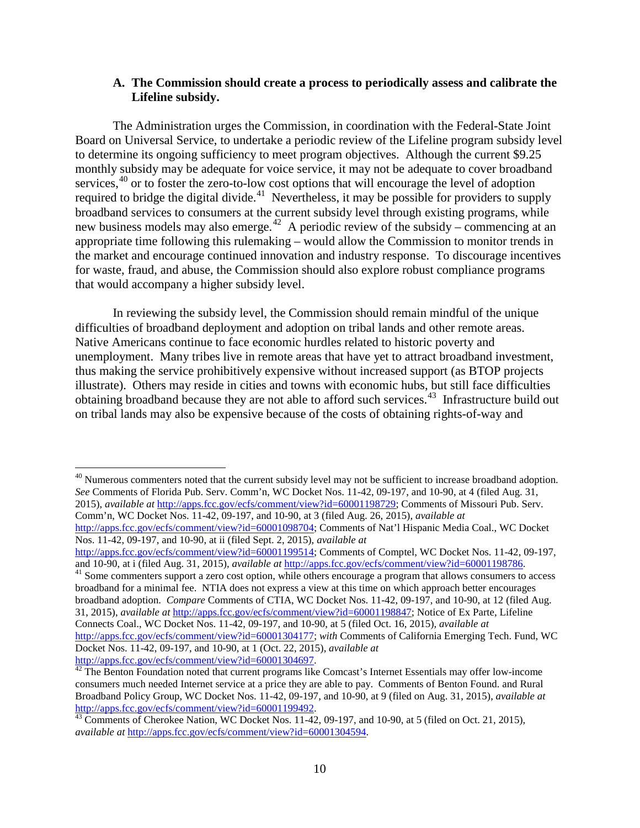#### **A. The Commission should create a process to periodically assess and calibrate the Lifeline subsidy.**

The Administration urges the Commission, in coordination with the Federal-State Joint Board on Universal Service, to undertake a periodic review of the Lifeline program subsidy level to determine its ongoing sufficiency to meet program objectives. Although the current \$9.25 monthly subsidy may be adequate for voice service, it may not be adequate to cover broadband services, <sup>[40](#page-12-0)</sup> or to foster the zero-to-low cost options that will encourage the level of adoption required to bridge the digital divide.<sup>[41](#page-12-1)</sup> Nevertheless, it may be possible for providers to supply broadband services to consumers at the current subsidy level through existing programs, while new business models may also emerge.<sup>[42](#page-12-2)</sup> A periodic review of the subsidy – commencing at an appropriate time following this rulemaking – would allow the Commission to monitor trends in the market and encourage continued innovation and industry response. To discourage incentives for waste, fraud, and abuse, the Commission should also explore robust compliance programs that would accompany a higher subsidy level.

In reviewing the subsidy level, the Commission should remain mindful of the unique difficulties of broadband deployment and adoption on tribal lands and other remote areas. Native Americans continue to face economic hurdles related to historic poverty and unemployment. Many tribes live in remote areas that have yet to attract broadband investment, thus making the service prohibitively expensive without increased support (as BTOP projects illustrate). Others may reside in cities and towns with economic hubs, but still face difficulties obtaining broadband because they are not able to afford such services.<sup>[43](#page-12-3)</sup> Infrastructure build out on tribal lands may also be expensive because of the costs of obtaining rights-of-way and

<span id="page-12-0"></span><sup>40</sup> Numerous commenters noted that the current subsidy level may not be sufficient to increase broadband adoption. *See* Comments of Florida Pub. Serv. Comm'n, WC Docket Nos. 11-42, 09-197, and 10-90, at 4 (filed Aug. 31, 2015), *available at* [http://apps.fcc.gov/ecfs/comment/view?id=60001198729;](http://apps.fcc.gov/ecfs/comment/view?id=60001198729) Comments of Missouri Pub. Serv. Comm'n, WC Docket Nos. 11-42, 09-197, and 10-90, at 3 (filed Aug. 26, 2015), *available at* [http://apps.fcc.gov/ecfs/comment/view?id=60001098704;](http://apps.fcc.gov/ecfs/comment/view?id=60001098704) Comments of Nat'l Hispanic Media Coal., WC Docket Nos. 11-42, 09-197, and 10-90, at ii (filed Sept. 2, 2015), *available at*

[http://apps.fcc.gov/ecfs/comment/view?id=60001199514;](http://apps.fcc.gov/ecfs/comment/view?id=60001199514) Comments of Comptel, WC Docket Nos. 11-42, 09-197, and 10-90, at i (filed Aug. 31, 2015), *available at http://apps.fcc.gov/ecfs/comment/view*?id=60001198786.

<span id="page-12-1"></span><sup>41</sup> Some commenters support a zero cost option, while others encourage a program that allows consumers to access broadband for a minimal fee. NTIA does not express a view at this time on which approach better encourages broadband adoption. *Compare* Comments of CTIA, WC Docket Nos. 11-42, 09-197, and 10-90, at 12 (filed Aug. 31, 2015), *available at* [http://apps.fcc.gov/ecfs/comment/view?id=60001198847;](http://apps.fcc.gov/ecfs/comment/view?id=60001198847) Notice of Ex Parte, Lifeline Connects Coal., WC Docket Nos. 11-42, 09-197, and 10-90, at 5 (filed Oct. 16, 2015), *available at* [http://apps.fcc.gov/ecfs/comment/view?id=60001304177;](http://apps.fcc.gov/ecfs/comment/view?id=60001304177) *with* Comments of California Emerging Tech. Fund, WC Docket Nos. 11-42, 09-197, and 10-90, at 1 (Oct. 22, 2015), *available at*

<span id="page-12-2"></span> $\frac{42}{12}$  The Benton Foundation noted that current programs like Comcast's Internet Essentials may offer low-income consumers much needed Internet service at a price they are able to pay. Comments of Benton Found. and Rural Broadband Policy Group, WC Docket Nos. 11-42, 09-197, and 10-90, at 9 (filed on Aug. 31, 2015), *available at*

<span id="page-12-3"></span> $\frac{43}{13}$  Comments of Cherokee Nation, WC Docket Nos. 11-42, 09-197, and 10-90, at 5 (filed on Oct. 21, 2015), *available at* [http://apps.fcc.gov/ecfs/comment/view?id=60001304594.](http://apps.fcc.gov/ecfs/comment/view?id=60001304594)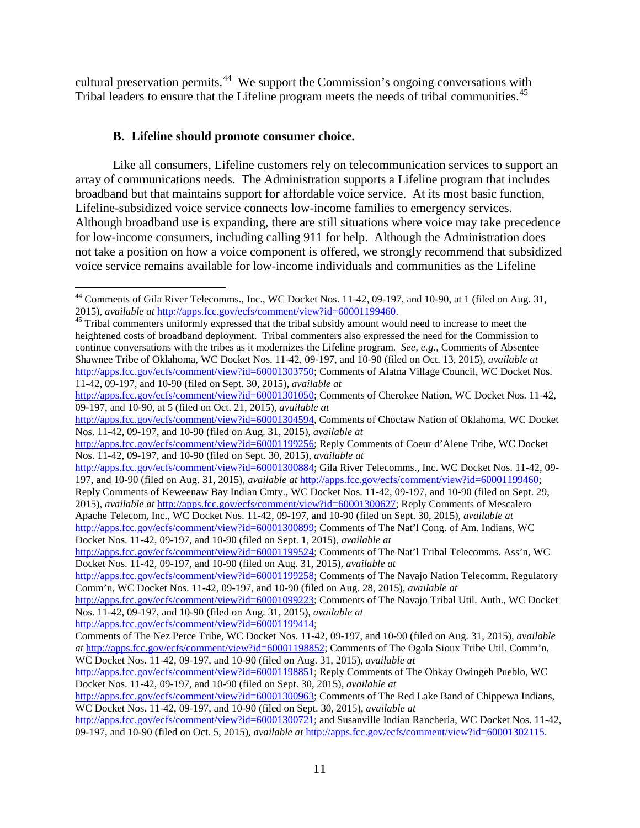cultural preservation permits.<sup>[44](#page-13-1)</sup> We support the Commission's ongoing conversations with Tribal leaders to ensure that the Lifeline program meets the needs of tribal communities.<sup>[45](#page-13-2)</sup>

#### <span id="page-13-0"></span>**B. Lifeline should promote consumer choice.**

Like all consumers, Lifeline customers rely on telecommunication services to support an array of communications needs. The Administration supports a Lifeline program that includes broadband but that maintains support for affordable voice service. At its most basic function, Lifeline-subsidized voice service connects low-income families to emergency services. Although broadband use is expanding, there are still situations where voice may take precedence for low-income consumers, including calling 911 for help. Although the Administration does not take a position on how a voice component is offered, we strongly recommend that subsidized voice service remains available for low-income individuals and communities as the Lifeline

[http://apps.fcc.gov/ecfs/comment/view?id=60001199414;](http://apps.fcc.gov/ecfs/comment/view?id=60001199414)

<span id="page-13-1"></span><sup>&</sup>lt;sup>44</sup> Comments of Gila River Telecomms., Inc., WC Docket Nos. 11-42, 09-197, and 10-90, at 1 (filed on Aug. 31, 2015), *available at* http://apps.fcc.gov/ecfs/comment/view?id=60001199460.

<span id="page-13-2"></span><sup>&</sup>lt;sup>45</sup> Tribal commenters uniformly expressed that the tribal subsidy amount would need to increase to meet the heightened costs of broadband deployment. Tribal commenters also expressed the need for the Commission to continue conversations with the tribes as it modernizes the Lifeline program. *See, e.g.*, Comments of Absentee Shawnee Tribe of Oklahoma, WC Docket Nos. 11-42, 09-197, and 10-90 (filed on Oct. 13, 2015), *available at* [http://apps.fcc.gov/ecfs/comment/view?id=60001303750;](http://apps.fcc.gov/ecfs/comment/view?id=60001303750) Comments of Alatna Village Council, WC Docket Nos. 11-42, 09-197, and 10-90 (filed on Sept. 30, 2015), *available at*

[http://apps.fcc.gov/ecfs/comment/view?id=60001301050;](http://apps.fcc.gov/ecfs/comment/view?id=60001301050) Comments of Cherokee Nation, WC Docket Nos. 11-42, 09-197, and 10-90, at 5 (filed on Oct. 21, 2015), *available at*

[http://apps.fcc.gov/ecfs/comment/view?id=60001304594,](http://apps.fcc.gov/ecfs/comment/view?id=60001304594) Comments of Choctaw Nation of Oklahoma, WC Docket Nos. 11-42, 09-197, and 10-90 (filed on Aug. 31, 2015), *available at*

[http://apps.fcc.gov/ecfs/comment/view?id=60001199256;](http://apps.fcc.gov/ecfs/comment/view?id=60001199256) Reply Comments of Coeur d'Alene Tribe, WC Docket Nos. 11-42, 09-197, and 10-90 (filed on Sept. 30, 2015), *available at*

[http://apps.fcc.gov/ecfs/comment/view?id=60001300884;](http://apps.fcc.gov/ecfs/comment/view?id=60001300884) Gila River Telecomms., Inc. WC Docket Nos. 11-42, 09-197, and 10-90 (filed on Aug. 31, 2015), *available at* [http://apps.fcc.gov/ecfs/comment/view?id=60001199460;](http://apps.fcc.gov/ecfs/comment/view?id=60001199460)

Reply Comments of Keweenaw Bay Indian Cmty., WC Docket Nos. 11-42, 09-197, and 10-90 (filed on Sept. 29, 2015), *available at* [http://apps.fcc.gov/ecfs/comment/view?id=60001300627;](http://apps.fcc.gov/ecfs/comment/view?id=60001300627) Reply Comments of Mescalero Apache Telecom, Inc., WC Docket Nos. 11-42, 09-197, and 10-90 (filed on Sept. 30, 2015), *available at*

[http://apps.fcc.gov/ecfs/comment/view?id=60001300899;](http://apps.fcc.gov/ecfs/comment/view?id=60001300899) Comments of The Nat'l Cong. of Am. Indians, WC Docket Nos. 11-42, 09-197, and 10-90 (filed on Sept. 1, 2015), *available at*

[http://apps.fcc.gov/ecfs/comment/view?id=60001199524;](http://apps.fcc.gov/ecfs/comment/view?id=60001199524) Comments of The Nat'l Tribal Telecomms. Ass'n, WC Docket Nos. 11-42, 09-197, and 10-90 (filed on Aug. 31, 2015), *available at*

[http://apps.fcc.gov/ecfs/comment/view?id=60001199258;](http://apps.fcc.gov/ecfs/comment/view?id=60001199258) Comments of The Navajo Nation Telecomm. Regulatory Comm'n, WC Docket Nos. 11-42, 09-197, and 10-90 (filed on Aug. 28, 2015), *available at*

[http://apps.fcc.gov/ecfs/comment/view?id=60001099223;](http://apps.fcc.gov/ecfs/comment/view?id=60001099223) Comments of The Navajo Tribal Util. Auth., WC Docket Nos. 11-42, 09-197, and 10-90 (filed on Aug. 31, 2015), *available at*

Comments of The Nez Perce Tribe, WC Docket Nos. 11-42, 09-197, and 10-90 (filed on Aug. 31, 2015), *available at* [http://apps.fcc.gov/ecfs/comment/view?id=60001198852;](http://apps.fcc.gov/ecfs/comment/view?id=60001198852) Comments of The Ogala Sioux Tribe Util. Comm'n, WC Docket Nos. 11-42, 09-197, and 10-90 (filed on Aug. 31, 2015), *available at*

[http://apps.fcc.gov/ecfs/comment/view?id=60001198851;](http://apps.fcc.gov/ecfs/comment/view?id=60001198851) Reply Comments of The Ohkay Owingeh Pueblo, WC Docket Nos. 11-42, 09-197, and 10-90 (filed on Sept. 30, 2015), *available at*

[http://apps.fcc.gov/ecfs/comment/view?id=60001300963;](http://apps.fcc.gov/ecfs/comment/view?id=60001300963) Comments of The Red Lake Band of Chippewa Indians, WC Docket Nos. 11-42, 09-197, and 10-90 (filed on Sept. 30, 2015), *available at*

[http://apps.fcc.gov/ecfs/comment/view?id=60001300721;](http://apps.fcc.gov/ecfs/comment/view?id=60001300721) and Susanville Indian Rancheria, WC Docket Nos. 11-42, 09-197, and 10-90 (filed on Oct. 5, 2015), *available at* [http://apps.fcc.gov/ecfs/comment/view?id=60001302115.](http://apps.fcc.gov/ecfs/comment/view?id=60001302115)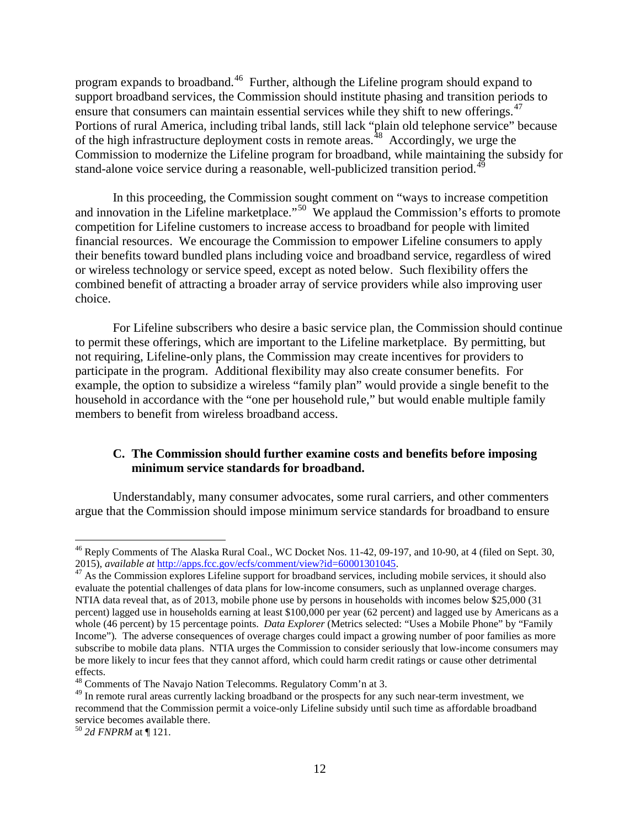program expands to broadband.[46](#page-14-1) Further, although the Lifeline program should expand to support broadband services, the Commission should institute phasing and transition periods to ensure that consumers can maintain essential services while they shift to new offerings.<sup>[47](#page-14-2)</sup> Portions of rural America, including tribal lands, still lack "plain old telephone service" because of the high infrastructure deployment costs in remote areas.<sup>[48](#page-14-3)</sup> Accordingly, we urge the Commission to modernize the Lifeline program for broadband, while maintaining the subsidy for stand-alone voice service during a reasonable, well-publicized transition period.<sup>[49](#page-14-4)</sup>

In this proceeding, the Commission sought comment on "ways to increase competition and innovation in the Lifeline marketplace."<sup>[50](#page-14-5)</sup> We applaud the Commission's efforts to promote competition for Lifeline customers to increase access to broadband for people with limited financial resources. We encourage the Commission to empower Lifeline consumers to apply their benefits toward bundled plans including voice and broadband service, regardless of wired or wireless technology or service speed, except as noted below. Such flexibility offers the combined benefit of attracting a broader array of service providers while also improving user choice.

For Lifeline subscribers who desire a basic service plan, the Commission should continue to permit these offerings, which are important to the Lifeline marketplace. By permitting, but not requiring, Lifeline-only plans, the Commission may create incentives for providers to participate in the program. Additional flexibility may also create consumer benefits. For example, the option to subsidize a wireless "family plan" would provide a single benefit to the household in accordance with the "one per household rule," but would enable multiple family members to benefit from wireless broadband access.

#### <span id="page-14-0"></span>**C. The Commission should further examine costs and benefits before imposing minimum service standards for broadband.**

Understandably, many consumer advocates, some rural carriers, and other commenters argue that the Commission should impose minimum service standards for broadband to ensure

<span id="page-14-1"></span><sup>&</sup>lt;sup>46</sup> Reply Comments of The Alaska Rural Coal., WC Docket Nos. 11-42, 09-197, and 10-90, at 4 (filed on Sept. 30, 2015), *available at* [http://apps.fcc.gov/ecfs/comment/view?id=60001301045.](http://apps.fcc.gov/ecfs/comment/view?id=60001301045)<br><sup>47</sup> As the Commission explores Lifeline support for broadband services, including mobile services, it should also

<span id="page-14-2"></span>evaluate the potential challenges of data plans for low-income consumers, such as unplanned overage charges. NTIA data reveal that, as of 2013, mobile phone use by persons in households with incomes below \$25,000 (31 percent) lagged use in households earning at least \$100,000 per year (62 percent) and lagged use by Americans as a whole (46 percent) by 15 percentage points. *Data Explorer* (Metrics selected: "Uses a Mobile Phone" by "Family Income")*.* The adverse consequences of overage charges could impact a growing number of poor families as more subscribe to mobile data plans. NTIA urges the Commission to consider seriously that low-income consumers may be more likely to incur fees that they cannot afford, which could harm credit ratings or cause other detrimental effects.

<span id="page-14-3"></span><sup>&</sup>lt;sup>48</sup> Comments of The Navajo Nation Telecomms. Regulatory Comm'n at 3.

<span id="page-14-4"></span><sup>&</sup>lt;sup>49</sup> In remote rural areas currently lacking broadband or the prospects for any such near-term investment, we recommend that the Commission permit a voice-only Lifeline subsidy until such time as affordable broadband service becomes available there.

<span id="page-14-5"></span><sup>50</sup> *2d FNPRM* at ¶ 121.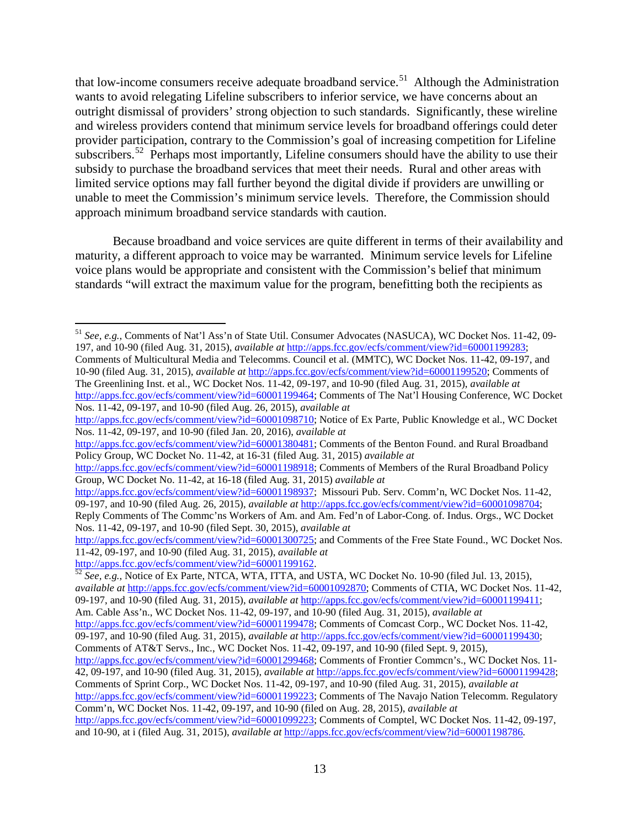that low-income consumers receive adequate broadband service.<sup>[51](#page-15-0)</sup> Although the Administration wants to avoid relegating Lifeline subscribers to inferior service, we have concerns about an outright dismissal of providers' strong objection to such standards. Significantly, these wireline and wireless providers contend that minimum service levels for broadband offerings could deter provider participation, contrary to the Commission's goal of increasing competition for Lifeline subscribers.<sup>52</sup> Perhaps most importantly, Lifeline consumers should have the ability to use their subsidy to purchase the broadband services that meet their needs. Rural and other areas with limited service options may fall further beyond the digital divide if providers are unwilling or unable to meet the Commission's minimum service levels. Therefore, the Commission should approach minimum broadband service standards with caution.

Because broadband and voice services are quite different in terms of their availability and maturity, a different approach to voice may be warranted. Minimum service levels for Lifeline voice plans would be appropriate and consistent with the Commission's belief that minimum standards "will extract the maximum value for the program, benefitting both the recipients as

Nos. 11-42, 09-197, and 10-90 (filed Aug. 26, 2015), *available at*

[http://apps.fcc.gov/ecfs/comment/view?id=60001380481;](http://apps.fcc.gov/ecfs/comment/view?id=60001380481) Comments of the Benton Found. and Rural Broadband Policy Group, WC Docket No. 11-42, at 16-31 (filed Aug. 31, 2015) *available at*

<span id="page-15-0"></span> <sup>51</sup> *See, e.g.*, Comments of Nat'l Ass'n of State Util. Consumer Advocates (NASUCA), WC Docket Nos. 11-42, 09- 197, and 10-90 (filed Aug. 31, 2015), *available at* [http://apps.fcc.gov/ecfs/comment/view?id=60001199283;](http://apps.fcc.gov/ecfs/comment/view?id=60001199283) Comments of Multicultural Media and Telecomms. Council et al. (MMTC), WC Docket Nos. 11-42, 09-197, and 10-90 (filed Aug. 31, 2015), *available at* [http://apps.fcc.gov/ecfs/comment/view?id=60001199520;](http://apps.fcc.gov/ecfs/comment/view?id=60001199520) Comments of The Greenlining Inst. et al., WC Docket Nos. 11-42, 09-197, and 10-90 (filed Aug. 31, 2015), *available at* [http://apps.fcc.gov/ecfs/comment/view?id=60001199464;](http://apps.fcc.gov/ecfs/comment/view?id=60001199464) Comments of The Nat'l Housing Conference, WC Docket

[http://apps.fcc.gov/ecfs/comment/view?id=60001098710;](http://apps.fcc.gov/ecfs/comment/view?id=60001098710) Notice of Ex Parte, Public Knowledge et al., WC Docket Nos. 11-42, 09-197, and 10-90 (filed Jan. 20, 2016), *available at*

[http://apps.fcc.gov/ecfs/comment/view?id=60001198918;](http://apps.fcc.gov/ecfs/comment/view?id=60001198918) Comments of Members of the Rural Broadband Policy Group, WC Docket No. 11-42, at 16-18 (filed Aug. 31, 2015) *available at* 

[http://apps.fcc.gov/ecfs/comment/view?id=60001198937;](http://apps.fcc.gov/ecfs/comment/view?id=60001198937) Missouri Pub. Serv. Comm'n, WC Docket Nos. 11-42, 09-197, and 10-90 (filed Aug. 26, 2015), *available at* [http://apps.fcc.gov/ecfs/comment/view?id=60001098704;](http://apps.fcc.gov/ecfs/comment/view?id=60001098704) Reply Comments of The Commc'ns Workers of Am. and Am. Fed'n of Labor-Cong. of. Indus. Orgs., WC Docket Nos. 11-42, 09-197, and 10-90 (filed Sept. 30, 2015), *available at*

[http://apps.fcc.gov/ecfs/comment/view?id=60001300725;](http://apps.fcc.gov/ecfs/comment/view?id=60001300725) and Comments of the Free State Found., WC Docket Nos. 11-42, 09-197, and 10-90 (filed Aug. 31, 2015), *available at*

<span id="page-15-1"></span>[http://apps.fcc.gov/ecfs/comment/view?id=60001199162. 52](http://apps.fcc.gov/ecfs/comment/view?id=60001199162) *See, e.g.*, Notice of Ex Parte, NTCA, WTA, ITTA, and USTA, WC Docket No. 10-90 (filed Jul. 13, 2015), *available at* [http://apps.fcc.gov/ecfs/comment/view?id=60001092870;](http://apps.fcc.gov/ecfs/comment/view?id=60001092870) Comments of CTIA, WC Docket Nos. 11-42, 09-197, and 10-90 (filed Aug. 31, 2015), *available at* [http://apps.fcc.gov/ecfs/comment/view?id=60001199411;](http://apps.fcc.gov/ecfs/comment/view?id=60001199411) Am. Cable Ass'n., WC Docket Nos. 11-42, 09-197, and 10-90 (filed Aug. 31, 2015), *available at* [http://apps.fcc.gov/ecfs/comment/view?id=60001199478;](http://apps.fcc.gov/ecfs/comment/view?id=60001199478) Comments of Comcast Corp., WC Docket Nos. 11-42, 09-197, and 10-90 (filed Aug. 31, 2015), *available at* [http://apps.fcc.gov/ecfs/comment/view?id=60001199430;](http://apps.fcc.gov/ecfs/comment/view?id=60001199430)

Comments of AT&T Servs., Inc., WC Docket Nos. 11-42, 09-197, and 10-90 (filed Sept. 9, 2015),

[http://apps.fcc.gov/ecfs/comment/view?id=60001299468;](http://apps.fcc.gov/ecfs/comment/view?id=60001299468) Comments of Frontier Commcn's., WC Docket Nos. 11- 42, 09-197, and 10-90 (filed Aug. 31, 2015), *available at* [http://apps.fcc.gov/ecfs/comment/view?id=60001199428;](http://apps.fcc.gov/ecfs/comment/view?id=60001199428) Comments of Sprint Corp., WC Docket Nos. 11-42, 09-197, and 10-90 (filed Aug. 31, 2015), *available at* 

[http://apps.fcc.gov/ecfs/comment/view?id=60001199223;](http://apps.fcc.gov/ecfs/comment/view?id=60001199223) Comments of The Navajo Nation Telecomm. Regulatory Comm'n, WC Docket Nos. 11-42, 09-197, and 10-90 (filed on Aug. 28, 2015), *available at*

[http://apps.fcc.gov/ecfs/comment/view?id=60001099223;](http://apps.fcc.gov/ecfs/comment/view?id=60001099223) Comments of Comptel, WC Docket Nos. 11-42, 09-197, and 10-90, at i (filed Aug. 31, 2015), *available at* <http://apps.fcc.gov/ecfs/comment/view?id=60001198786>*.*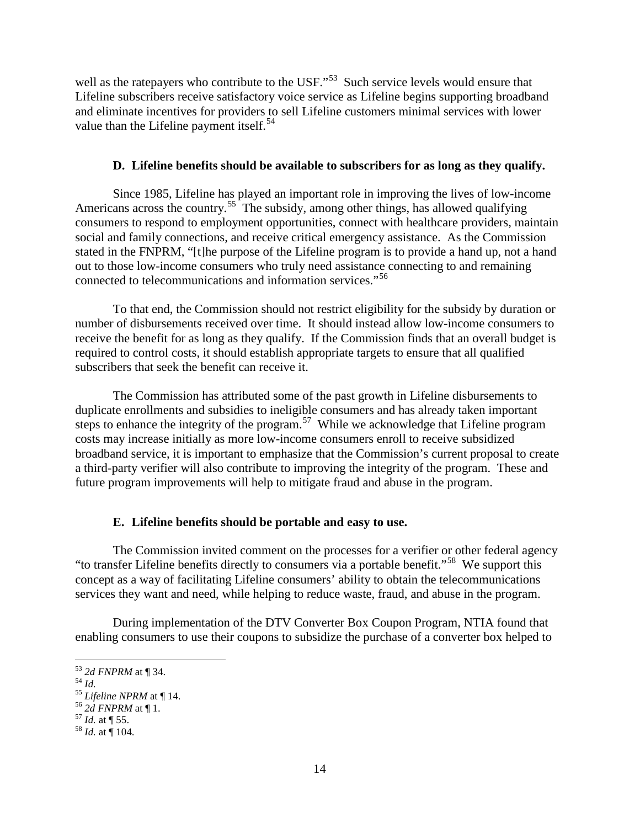well as the ratepayers who contribute to the USF."<sup>[53](#page-16-2)</sup> Such service levels would ensure that Lifeline subscribers receive satisfactory voice service as Lifeline begins supporting broadband and eliminate incentives for providers to sell Lifeline customers minimal services with lower value than the Lifeline payment itself. $54$ 

#### **D. Lifeline benefits should be available to subscribers for as long as they qualify.**

<span id="page-16-0"></span>Since 1985, Lifeline has played an important role in improving the lives of low-income Americans across the country.<sup>[55](#page-16-4)</sup> The subsidy, among other things, has allowed qualifying consumers to respond to employment opportunities, connect with healthcare providers, maintain social and family connections, and receive critical emergency assistance. As the Commission stated in the FNPRM, "[t]he purpose of the Lifeline program is to provide a hand up, not a hand out to those low-income consumers who truly need assistance connecting to and remaining connected to telecommunications and information services."[56](#page-16-5)

To that end, the Commission should not restrict eligibility for the subsidy by duration or number of disbursements received over time. It should instead allow low-income consumers to receive the benefit for as long as they qualify. If the Commission finds that an overall budget is required to control costs, it should establish appropriate targets to ensure that all qualified subscribers that seek the benefit can receive it.

The Commission has attributed some of the past growth in Lifeline disbursements to duplicate enrollments and subsidies to ineligible consumers and has already taken important steps to enhance the integrity of the program.<sup>[57](#page-16-6)</sup> While we acknowledge that Lifeline program costs may increase initially as more low-income consumers enroll to receive subsidized broadband service, it is important to emphasize that the Commission's current proposal to create a third-party verifier will also contribute to improving the integrity of the program. These and future program improvements will help to mitigate fraud and abuse in the program.

#### **E. Lifeline benefits should be portable and easy to use.**

<span id="page-16-1"></span>The Commission invited comment on the processes for a verifier or other federal agency "to transfer Lifeline benefits directly to consumers via a portable benefit."[58](#page-16-7) We support this concept as a way of facilitating Lifeline consumers' ability to obtain the telecommunications services they want and need, while helping to reduce waste, fraud, and abuse in the program.

During implementation of the DTV Converter Box Coupon Program, NTIA found that enabling consumers to use their coupons to subsidize the purchase of a converter box helped to

<span id="page-16-4"></span>

<span id="page-16-3"></span><span id="page-16-2"></span><sup>53</sup> *2d FNPRM* at ¶ 34.<br>
54 *Id.*<br>
55 *Lifeline NPRM* at ¶ 14.<br>
56 *2d FNPRM* at ¶ 1.<br>
57 *Id.* at ¶ 55.<br>
58 *Id.* at ¶ 104.

<span id="page-16-5"></span>

<span id="page-16-7"></span><span id="page-16-6"></span>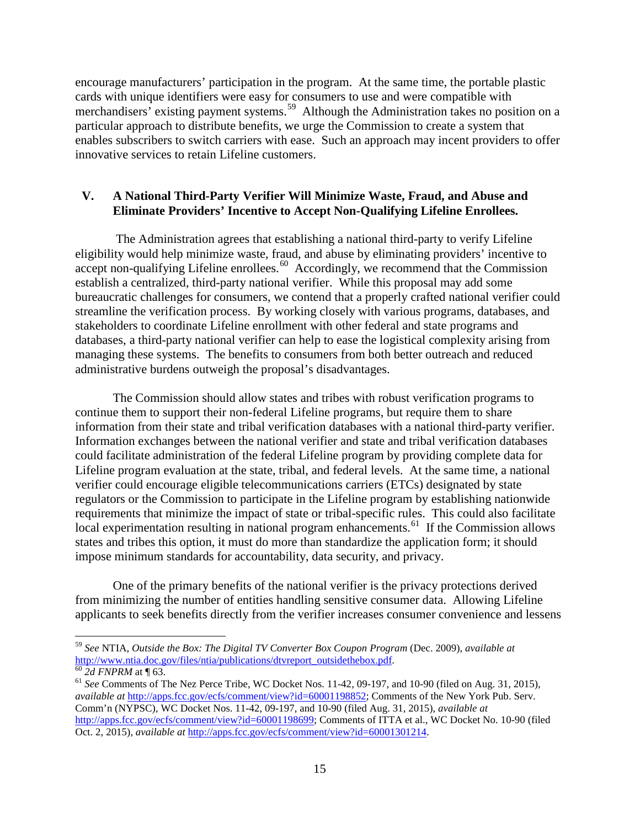encourage manufacturers' participation in the program. At the same time, the portable plastic cards with unique identifiers were easy for consumers to use and were compatible with merchandisers' existing payment systems.<sup>[59](#page-17-1)</sup> Although the Administration takes no position on a particular approach to distribute benefits, we urge the Commission to create a system that enables subscribers to switch carriers with ease. Such an approach may incent providers to offer innovative services to retain Lifeline customers.

#### <span id="page-17-0"></span>**V. A National Third-Party Verifier Will Minimize Waste, Fraud, and Abuse and Eliminate Providers' Incentive to Accept Non-Qualifying Lifeline Enrollees.**

The Administration agrees that establishing a national third-party to verify Lifeline eligibility would help minimize waste, fraud, and abuse by eliminating providers' incentive to accept non-qualifying Lifeline enrollees.<sup>[60](#page-17-2)</sup> Accordingly, we recommend that the Commission establish a centralized, third-party national verifier. While this proposal may add some bureaucratic challenges for consumers, we contend that a properly crafted national verifier could streamline the verification process. By working closely with various programs, databases, and stakeholders to coordinate Lifeline enrollment with other federal and state programs and databases, a third-party national verifier can help to ease the logistical complexity arising from managing these systems. The benefits to consumers from both better outreach and reduced administrative burdens outweigh the proposal's disadvantages.

The Commission should allow states and tribes with robust verification programs to continue them to support their non-federal Lifeline programs, but require them to share information from their state and tribal verification databases with a national third-party verifier. Information exchanges between the national verifier and state and tribal verification databases could facilitate administration of the federal Lifeline program by providing complete data for Lifeline program evaluation at the state, tribal, and federal levels. At the same time, a national verifier could encourage eligible telecommunications carriers (ETCs) designated by state regulators or the Commission to participate in the Lifeline program by establishing nationwide requirements that minimize the impact of state or tribal-specific rules. This could also facilitate local experimentation resulting in national program enhancements.<sup>61</sup> If the Commission allows states and tribes this option, it must do more than standardize the application form; it should impose minimum standards for accountability, data security, and privacy.

One of the primary benefits of the national verifier is the privacy protections derived from minimizing the number of entities handling sensitive consumer data. Allowing Lifeline applicants to seek benefits directly from the verifier increases consumer convenience and lessens

<span id="page-17-1"></span> <sup>59</sup> *See* NTIA, *Outside the Box: The Digital TV Converter Box Coupon Program* (Dec. 2009), *available at*

<span id="page-17-3"></span><span id="page-17-2"></span> $\frac{60}{3}$  2d FNPRM at ¶ 63. 60 <sup>61</sup> *See* Comments of The Nez Perce Tribe, WC Docket Nos. 11-42, 09-197, and 10-90 (filed on Aug. 31, 2015), *available at* [http://apps.fcc.gov/ecfs/comment/view?id=60001198852;](http://apps.fcc.gov/ecfs/comment/view?id=60001198852) Comments of the New York Pub. Serv. Comm'n (NYPSC), WC Docket Nos. 11-42, 09-197, and 10-90 (filed Aug. 31, 2015), *available at*  [http://apps.fcc.gov/ecfs/comment/view?id=60001198699;](http://apps.fcc.gov/ecfs/comment/view?id=60001198699) Comments of ITTA et al., WC Docket No. 10-90 (filed Oct. 2, 2015), *available at* [http://apps.fcc.gov/ecfs/comment/view?id=60001301214.](http://apps.fcc.gov/ecfs/comment/view?id=60001301214)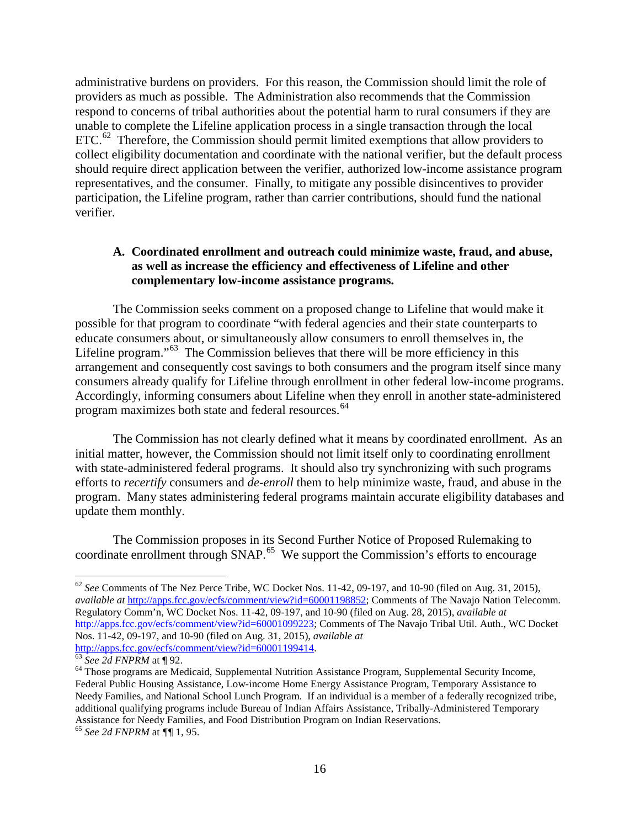administrative burdens on providers. For this reason, the Commission should limit the role of providers as much as possible. The Administration also recommends that the Commission respond to concerns of tribal authorities about the potential harm to rural consumers if they are unable to complete the Lifeline application process in a single transaction through the local  $ETC<sup>62</sup>$  $ETC<sup>62</sup>$  $ETC<sup>62</sup>$  Therefore, the Commission should permit limited exemptions that allow providers to collect eligibility documentation and coordinate with the national verifier, but the default process should require direct application between the verifier, authorized low-income assistance program representatives, and the consumer. Finally, to mitigate any possible disincentives to provider participation, the Lifeline program, rather than carrier contributions, should fund the national verifier.

#### <span id="page-18-0"></span>**A. Coordinated enrollment and outreach could minimize waste, fraud, and abuse, as well as increase the efficiency and effectiveness of Lifeline and other complementary low-income assistance programs.**

The Commission seeks comment on a proposed change to Lifeline that would make it possible for that program to coordinate "with federal agencies and their state counterparts to educate consumers about, or simultaneously allow consumers to enroll themselves in, the Lifeline program."<sup>[63](#page-18-2)</sup> The Commission believes that there will be more efficiency in this arrangement and consequently cost savings to both consumers and the program itself since many consumers already qualify for Lifeline through enrollment in other federal low-income programs. Accordingly, informing consumers about Lifeline when they enroll in another state-administered program maximizes both state and federal resources.<sup>[64](#page-18-3)</sup>

The Commission has not clearly defined what it means by coordinated enrollment. As an initial matter, however, the Commission should not limit itself only to coordinating enrollment with state-administered federal programs. It should also try synchronizing with such programs efforts to *recertify* consumers and *de-enroll* them to help minimize waste, fraud, and abuse in the program. Many states administering federal programs maintain accurate eligibility databases and update them monthly.

The Commission proposes in its Second Further Notice of Proposed Rulemaking to coordinate enrollment through SNAP.<sup>[65](#page-18-4)</sup> We support the Commission's efforts to encourage

<span id="page-18-1"></span> <sup>62</sup> *See* Comments of The Nez Perce Tribe, WC Docket Nos. 11-42, 09-197, and 10-90 (filed on Aug. 31, 2015), *available at* [http://apps.fcc.gov/ecfs/comment/view?id=60001198852;](http://apps.fcc.gov/ecfs/comment/view?id=60001198852) Comments of The Navajo Nation Telecomm. Regulatory Comm'n, WC Docket Nos. 11-42, 09-197, and 10-90 (filed on Aug. 28, 2015), *available at* [http://apps.fcc.gov/ecfs/comment/view?id=60001099223;](http://apps.fcc.gov/ecfs/comment/view?id=60001099223) Comments of The Navajo Tribal Util. Auth., WC Docket Nos. 11-42, 09-197, and 10-90 (filed on Aug. 31, 2015), *available at*

<span id="page-18-3"></span><span id="page-18-2"></span><sup>&</sup>lt;sup>63</sup> See 2d FNPRM at ¶ 92. **63** See 2d FNPRM at ¶ 92. **64** Those program, Supplemental Security Income, 64 Those programs are Medicaid, Supplemental Nutrition Assistance Program, Supplemental Security Income, Federal Public Housing Assistance, Low-income Home Energy Assistance Program, Temporary Assistance to Needy Families, and National School Lunch Program. If an individual is a member of a federally recognized tribe, additional qualifying programs include Bureau of Indian Affairs Assistance, Tribally-Administered Temporary Assistance for Needy Families, and Food Distribution Program on Indian Reservations.

<span id="page-18-4"></span><sup>65</sup> *See 2d FNPRM* at *¶¶* 1, 95.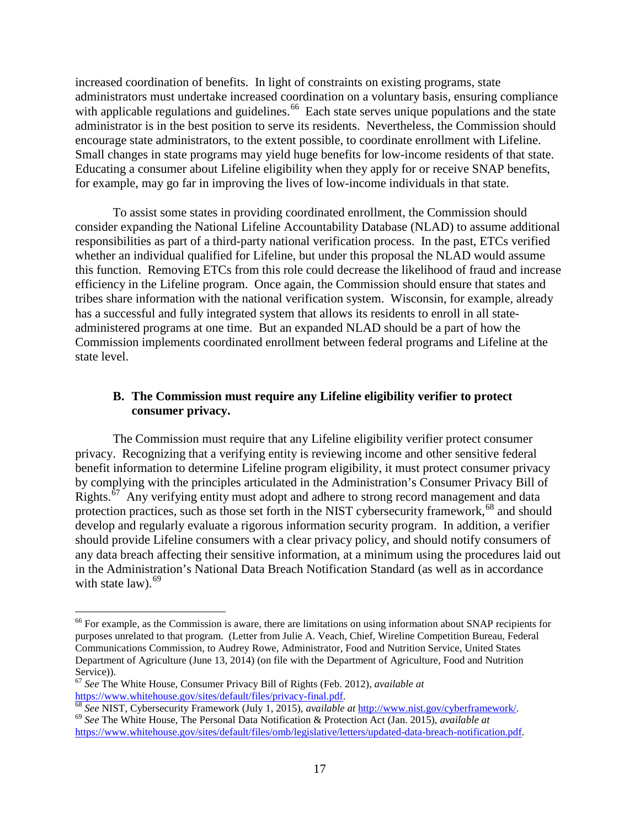increased coordination of benefits. In light of constraints on existing programs, state administrators must undertake increased coordination on a voluntary basis, ensuring compliance with applicable regulations and guidelines.<sup>[66](#page-19-1)</sup> Each state serves unique populations and the state administrator is in the best position to serve its residents. Nevertheless, the Commission should encourage state administrators, to the extent possible, to coordinate enrollment with Lifeline. Small changes in state programs may yield huge benefits for low-income residents of that state. Educating a consumer about Lifeline eligibility when they apply for or receive SNAP benefits, for example, may go far in improving the lives of low-income individuals in that state.

To assist some states in providing coordinated enrollment, the Commission should consider expanding the National Lifeline Accountability Database (NLAD) to assume additional responsibilities as part of a third-party national verification process. In the past, ETCs verified whether an individual qualified for Lifeline, but under this proposal the NLAD would assume this function. Removing ETCs from this role could decrease the likelihood of fraud and increase efficiency in the Lifeline program. Once again, the Commission should ensure that states and tribes share information with the national verification system. Wisconsin, for example, already has a successful and fully integrated system that allows its residents to enroll in all stateadministered programs at one time. But an expanded NLAD should be a part of how the Commission implements coordinated enrollment between federal programs and Lifeline at the state level.

# <span id="page-19-0"></span>**B. The Commission must require any Lifeline eligibility verifier to protect consumer privacy.**

The Commission must require that any Lifeline eligibility verifier protect consumer privacy. Recognizing that a verifying entity is reviewing income and other sensitive federal benefit information to determine Lifeline program eligibility, it must protect consumer privacy by complying with the principles articulated in the Administration's Consumer Privacy Bill of Rights.<sup>67</sup> Any verifying entity must adopt and adhere to strong record management and data protection practices, such as those set forth in the NIST cybersecurity framework.<sup>[68](#page-19-3)</sup> and should develop and regularly evaluate a rigorous information security program. In addition, a verifier should provide Lifeline consumers with a clear privacy policy, and should notify consumers of any data breach affecting their sensitive information, at a minimum using the procedures laid out in the Administration's National Data Breach Notification Standard (as well as in accordance with state law).  $69$ 

<span id="page-19-1"></span><sup>&</sup>lt;sup>66</sup> For example, as the Commission is aware, there are limitations on using information about SNAP recipients for purposes unrelated to that program. (Letter from Julie A. Veach, Chief, Wireline Competition Bureau, Federal Communications Commission, to Audrey Rowe, Administrator, Food and Nutrition Service, United States Department of Agriculture (June 13, 2014) (on file with the Department of Agriculture, Food and Nutrition

<span id="page-19-2"></span><sup>&</sup>lt;sup>67</sup> *See* The White House, Consumer Privacy Bill of Rights (Feb. 2012), *available at* https://www.whitehouse.gov/sites/default/files/privacy-final.pdf.

<span id="page-19-4"></span><span id="page-19-3"></span> $\frac{68}{68}$  See NIST, Cybersecurity Framework (July 1, 2015), *available at* [http://www.nist.gov/cyberframework/.](http://www.nist.gov/cyberframework/)<br><sup>69</sup> See The White House, The Personal Data Notification & Protection Act (Jan. 2015), *available at* [https://www.whitehouse.gov/sites/default/files/omb/legislative/letters/updated-data-breach-notification.pdf.](https://www.whitehouse.gov/sites/default/files/omb/legislative/letters/updated-data-breach-notification.pdf)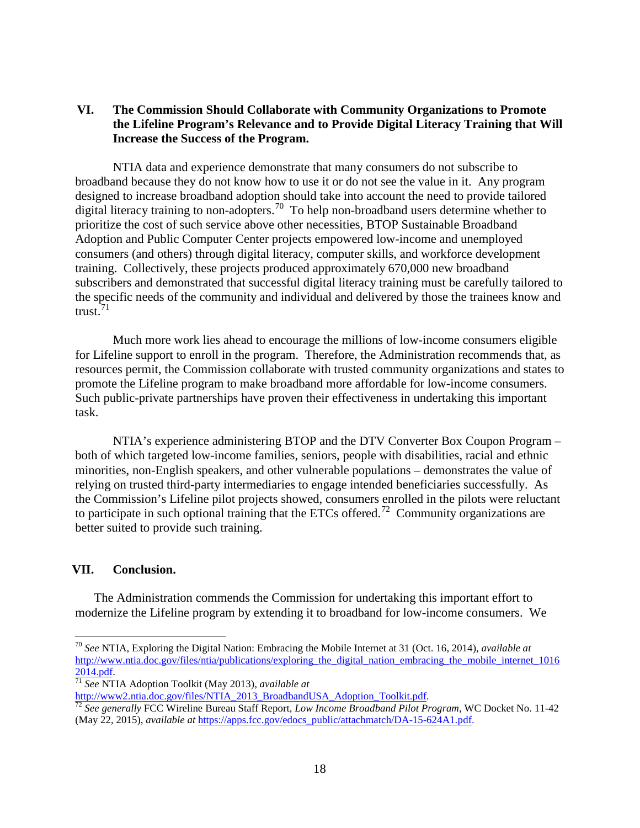# <span id="page-20-0"></span>**VI. The Commission Should Collaborate with Community Organizations to Promote the Lifeline Program's Relevance and to Provide Digital Literacy Training that Will Increase the Success of the Program.**

NTIA data and experience demonstrate that many consumers do not subscribe to broadband because they do not know how to use it or do not see the value in it. Any program designed to increase broadband adoption should take into account the need to provide tailored digital literacy training to non-adopters.<sup>[70](#page-20-2)</sup> To help non-broadband users determine whether to prioritize the cost of such service above other necessities, BTOP Sustainable Broadband Adoption and Public Computer Center projects empowered low-income and unemployed consumers (and others) through digital literacy, computer skills, and workforce development training. Collectively, these projects produced approximately 670,000 new broadband subscribers and demonstrated that successful digital literacy training must be carefully tailored to the specific needs of the community and individual and delivered by those the trainees know and trust. $71$ 

Much more work lies ahead to encourage the millions of low-income consumers eligible for Lifeline support to enroll in the program. Therefore, the Administration recommends that, as resources permit, the Commission collaborate with trusted community organizations and states to promote the Lifeline program to make broadband more affordable for low-income consumers. Such public-private partnerships have proven their effectiveness in undertaking this important task.

NTIA's experience administering BTOP and the DTV Converter Box Coupon Program – both of which targeted low-income families, seniors, people with disabilities, racial and ethnic minorities, non-English speakers, and other vulnerable populations – demonstrates the value of relying on trusted third-party intermediaries to engage intended beneficiaries successfully. As the Commission's Lifeline pilot projects showed, consumers enrolled in the pilots were reluctant to participate in such optional training that the ETCs offered.<sup>[72](#page-20-4)</sup> Community organizations are better suited to provide such training.

# <span id="page-20-1"></span>**VII. Conclusion.**

The Administration commends the Commission for undertaking this important effort to modernize the Lifeline program by extending it to broadband for low-income consumers. We

<span id="page-20-2"></span> <sup>70</sup> *See* NTIA, Exploring the Digital Nation: Embracing the Mobile Internet at 31 (Oct. 16, 2014), *available at*  http://www.ntia.doc.gov/files/ntia/publications/exploring the digital nation embracing the mobile internet 1016 [2014.pdf.](http://www.ntia.doc.gov/files/ntia/publications/exploring_the_digital_nation_embracing_the_mobile_internet_10162014.pdf) <sup>71</sup> *See* NTIA Adoption Toolkit (May 2013), *available at*

<span id="page-20-3"></span>

<span id="page-20-4"></span><sup>&</sup>lt;sup>72</sup> See generally FCC Wireline Bureau Staff Report, *Low Income Broadband Pilot Program*, WC Docket No. 11-42 (May 22, 2015), *available at* [https://apps.fcc.gov/edocs\\_public/attachmatch/DA-15-624A1.pdf.](https://apps.fcc.gov/edocs_public/attachmatch/DA-15-624A1.pdf)